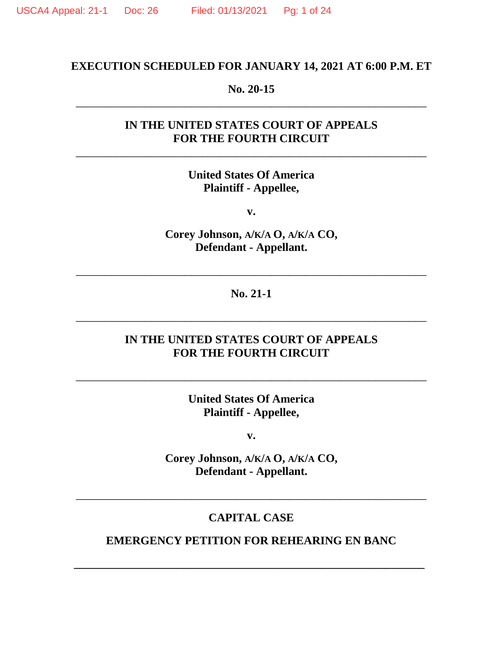# **EXECUTION SCHEDULED FOR JANUARY 14, 2021 AT 6:00 P.M. ET**

#### **No. 20-15** \_\_\_\_\_\_\_\_\_\_\_\_\_\_\_\_\_\_\_\_\_\_\_\_\_\_\_\_\_\_\_\_\_\_\_\_\_\_\_\_\_\_\_\_\_\_\_\_\_\_\_\_\_\_\_\_\_\_\_\_\_

# **IN THE UNITED STATES COURT OF APPEALS FOR THE FOURTH CIRCUIT**

\_\_\_\_\_\_\_\_\_\_\_\_\_\_\_\_\_\_\_\_\_\_\_\_\_\_\_\_\_\_\_\_\_\_\_\_\_\_\_\_\_\_\_\_\_\_\_\_\_\_\_\_\_\_\_\_\_\_\_\_\_

# **United States Of America Plaintiff - Appellee,**

**v.**

**Corey Johnson, A/K/A O, A/K/A CO, Defendant - Appellant.**

**No. 21-1**

\_\_\_\_\_\_\_\_\_\_\_\_\_\_\_\_\_\_\_\_\_\_\_\_\_\_\_\_\_\_\_\_\_\_\_\_\_\_\_\_\_\_\_\_\_\_\_\_\_\_\_\_\_\_\_\_\_\_\_\_\_

\_\_\_\_\_\_\_\_\_\_\_\_\_\_\_\_\_\_\_\_\_\_\_\_\_\_\_\_\_\_\_\_\_\_\_\_\_\_\_\_\_\_\_\_\_\_\_\_\_\_\_\_\_\_\_\_\_\_\_\_\_

### **IN THE UNITED STATES COURT OF APPEALS FOR THE FOURTH CIRCUIT**

**United States Of America Plaintiff - Appellee,**

\_\_\_\_\_\_\_\_\_\_\_\_\_\_\_\_\_\_\_\_\_\_\_\_\_\_\_\_\_\_\_\_\_\_\_\_\_\_\_\_\_\_\_\_\_\_\_\_\_\_\_\_\_\_\_\_\_\_\_\_\_

**v.**

**Corey Johnson, A/K/A O, A/K/A CO, Defendant - Appellant.**

### **CAPITAL CASE**

\_\_\_\_\_\_\_\_\_\_\_\_\_\_\_\_\_\_\_\_\_\_\_\_\_\_\_\_\_\_\_\_\_\_\_\_\_\_\_\_\_\_\_\_\_\_\_\_\_\_\_\_\_\_\_\_\_\_\_\_\_

### **EMERGENCY PETITION FOR REHEARING EN BANC**

**\_\_\_\_\_\_\_\_\_\_\_\_\_\_\_\_\_\_\_\_\_\_\_\_\_\_\_\_\_\_\_\_\_\_\_\_\_\_\_\_\_\_\_\_\_\_\_\_\_\_\_\_\_\_\_\_\_\_\_\_\_**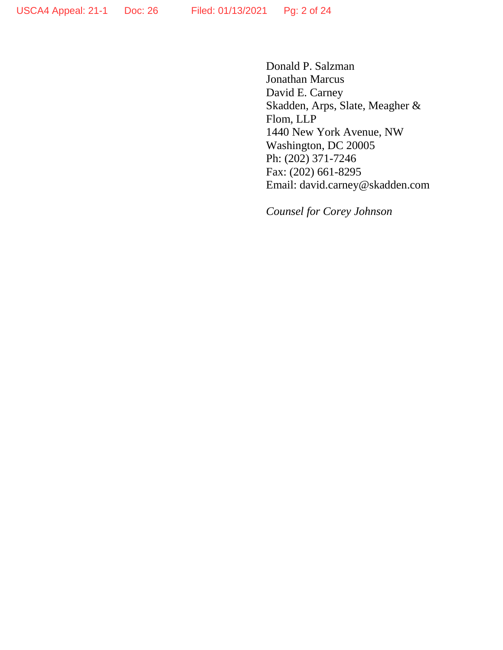Donald P. Salzman Jonathan Marcus David E. Carney Skadden, Arps, Slate, Meagher & Flom, LLP 1440 New York Avenue, NW Washington, DC 20005 Ph: (202) 371-7246 Fax: (202) 661-8295 Email: david.carney@skadden.com

*Counsel for Corey Johnson*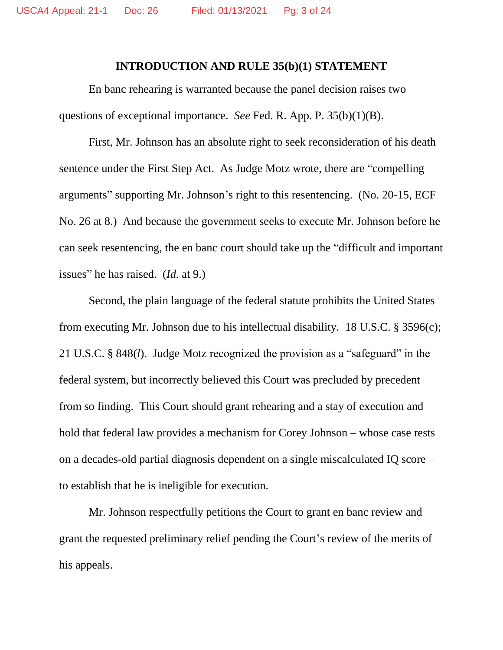#### **INTRODUCTION AND RULE 35(b)(1) STATEMENT**

En banc rehearing is warranted because the panel decision raises two questions of exceptional importance. *See* Fed. R. App. P. 35(b)(1)(B).

First, Mr. Johnson has an absolute right to seek reconsideration of his death sentence under the First Step Act. As Judge Motz wrote, there are "compelling arguments" supporting Mr. Johnson's right to this resentencing. (No. 20-15, ECF No. 26 at 8.) And because the government seeks to execute Mr. Johnson before he can seek resentencing, the en banc court should take up the "difficult and important issues" he has raised. (*Id.* at 9.)

Second, the plain language of the federal statute prohibits the United States from executing Mr. Johnson due to his intellectual disability. 18 U.S.C. § 3596(c); 21 U.S.C. § 848(*l*). Judge Motz recognized the provision as a "safeguard" in the federal system, but incorrectly believed this Court was precluded by precedent from so finding. This Court should grant rehearing and a stay of execution and hold that federal law provides a mechanism for Corey Johnson – whose case rests on a decades-old partial diagnosis dependent on a single miscalculated IQ score – to establish that he is ineligible for execution.

Mr. Johnson respectfully petitions the Court to grant en banc review and grant the requested preliminary relief pending the Court's review of the merits of his appeals.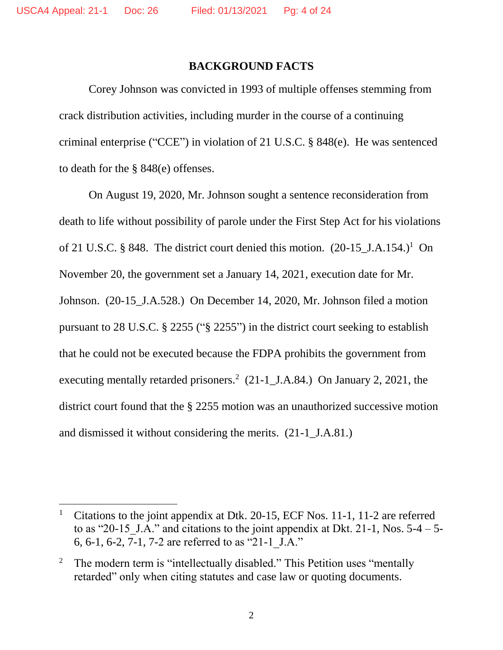$\overline{a}$ 

### **BACKGROUND FACTS**

Corey Johnson was convicted in 1993 of multiple offenses stemming from crack distribution activities, including murder in the course of a continuing criminal enterprise ("CCE") in violation of 21 U.S.C. § 848(e). He was sentenced to death for the § 848(e) offenses.

On August 19, 2020, Mr. Johnson sought a sentence reconsideration from death to life without possibility of parole under the First Step Act for his violations of 21 U.S.C. § 848. The district court denied this motion.  $(20-15$ \_J.A.154.)<sup>1</sup> On November 20, the government set a January 14, 2021, execution date for Mr. Johnson. (20-15\_J.A.528.) On December 14, 2020, Mr. Johnson filed a motion pursuant to 28 U.S.C. § 2255 ("§ 2255") in the district court seeking to establish that he could not be executed because the FDPA prohibits the government from executing mentally retarded prisoners.<sup>2</sup> (21-1\_J.A.84.) On January 2, 2021, the district court found that the § 2255 motion was an unauthorized successive motion and dismissed it without considering the merits. (21-1\_J.A.81.)

<sup>&</sup>lt;sup>1</sup> Citations to the joint appendix at Dtk. 20-15, ECF Nos. 11-1, 11-2 are referred to as "20-15 J.A." and citations to the joint appendix at Dkt. 21-1, Nos.  $5-4 - 5-$ 6, 6-1, 6-2, 7-1, 7-2 are referred to as "21-1\_J.A."

<sup>&</sup>lt;sup>2</sup> The modern term is "intellectually disabled." This Petition uses "mentally retarded" only when citing statutes and case law or quoting documents.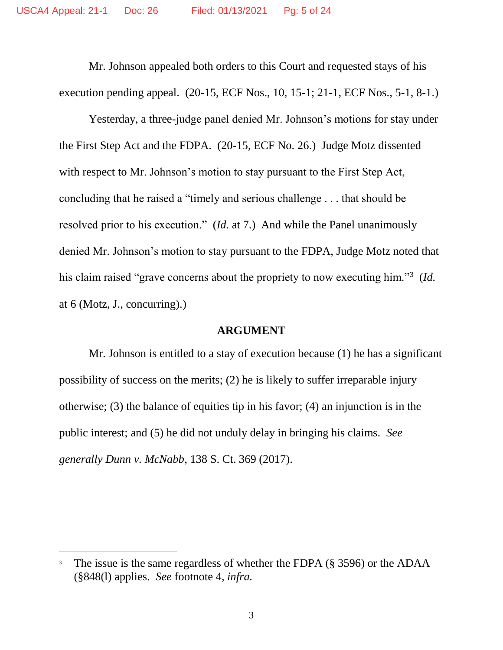Mr. Johnson appealed both orders to this Court and requested stays of his execution pending appeal. (20-15, ECF Nos., 10, 15-1; 21-1, ECF Nos., 5-1, 8-1.)

Yesterday, a three-judge panel denied Mr. Johnson's motions for stay under the First Step Act and the FDPA. (20-15, ECF No. 26.) Judge Motz dissented with respect to Mr. Johnson's motion to stay pursuant to the First Step Act, concluding that he raised a "timely and serious challenge . . . that should be resolved prior to his execution." (*Id.* at 7.) And while the Panel unanimously denied Mr. Johnson's motion to stay pursuant to the FDPA, Judge Motz noted that his claim raised "grave concerns about the propriety to now executing him."<sup>3</sup> (*Id.* at 6 (Motz, J., concurring).)

#### **ARGUMENT**

Mr. Johnson is entitled to a stay of execution because (1) he has a significant possibility of success on the merits; (2) he is likely to suffer irreparable injury otherwise; (3) the balance of equities tip in his favor; (4) an injunction is in the public interest; and (5) he did not unduly delay in bringing his claims. *See generally Dunn v. McNabb*, 138 S. Ct. 369 (2017).

The issue is the same regardless of whether the FDPA (§ 3596) or the ADAA (§848(l) applies. *See* footnote 4, *infra.*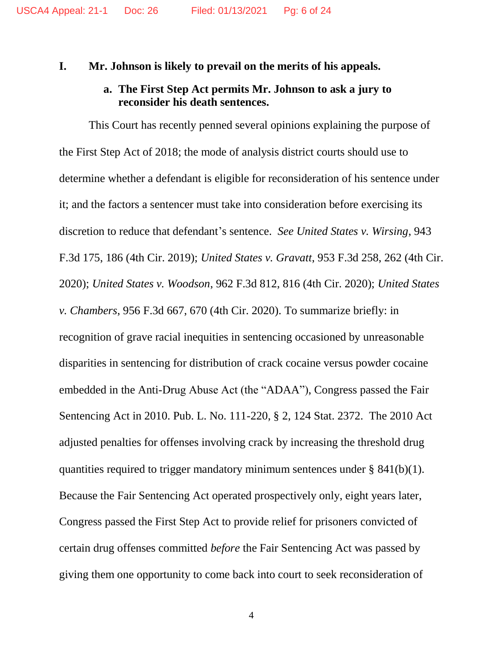#### **I. Mr. Johnson is likely to prevail on the merits of his appeals.**

#### **a. The First Step Act permits Mr. Johnson to ask a jury to reconsider his death sentences.**

This Court has recently penned several opinions explaining the purpose of the First Step Act of 2018; the mode of analysis district courts should use to determine whether a defendant is eligible for reconsideration of his sentence under it; and the factors a sentencer must take into consideration before exercising its discretion to reduce that defendant's sentence. *See United States v. Wirsing*, 943 F.3d 175, 186 (4th Cir. 2019); *United States v. Gravatt*, 953 F.3d 258, 262 (4th Cir. 2020); *United States v. Woodson*, 962 F.3d 812, 816 (4th Cir. 2020); *United States v. Chambers*, 956 F.3d 667, 670 (4th Cir. 2020). To summarize briefly: in recognition of grave racial inequities in sentencing occasioned by unreasonable disparities in sentencing for distribution of crack cocaine versus powder cocaine embedded in the Anti-Drug Abuse Act (the "ADAA"), Congress passed the Fair Sentencing Act in 2010. Pub. L. No. 111-220, § 2, 124 Stat. 2372. The 2010 Act adjusted penalties for offenses involving crack by increasing the threshold drug quantities required to trigger mandatory minimum sentences under  $\S$  841(b)(1). Because the Fair Sentencing Act operated prospectively only, eight years later, Congress passed the First Step Act to provide relief for prisoners convicted of certain drug offenses committed *before* the Fair Sentencing Act was passed by giving them one opportunity to come back into court to seek reconsideration of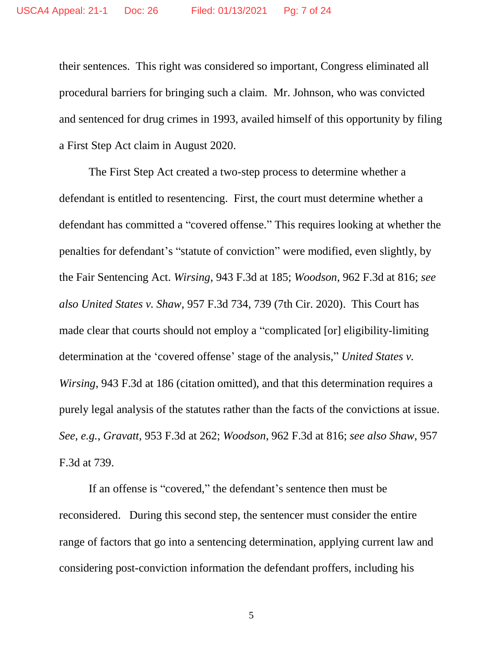their sentences. This right was considered so important, Congress eliminated all procedural barriers for bringing such a claim. Mr. Johnson, who was convicted and sentenced for drug crimes in 1993, availed himself of this opportunity by filing a First Step Act claim in August 2020.

The First Step Act created a two-step process to determine whether a defendant is entitled to resentencing. First, the court must determine whether a defendant has committed a "covered offense." This requires looking at whether the penalties for defendant's "statute of conviction" were modified, even slightly, by the Fair Sentencing Act. *Wirsing*, 943 F.3d at 185; *Woodson*, 962 F.3d at 816; *see also United States v. Shaw*, 957 F.3d 734, 739 (7th Cir. 2020). This Court has made clear that courts should not employ a "complicated [or] eligibility-limiting determination at the 'covered offense' stage of the analysis," *United States v. Wirsing*, 943 F.3d at 186 (citation omitted), and that this determination requires a purely legal analysis of the statutes rather than the facts of the convictions at issue. *See, e.g.*, *Gravatt*, 953 F.3d at 262; *Woodson*, 962 F.3d at 816; *see also Shaw*, 957 F.3d at 739.

If an offense is "covered," the defendant's sentence then must be reconsidered. During this second step, the sentencer must consider the entire range of factors that go into a sentencing determination, applying current law and considering post-conviction information the defendant proffers, including his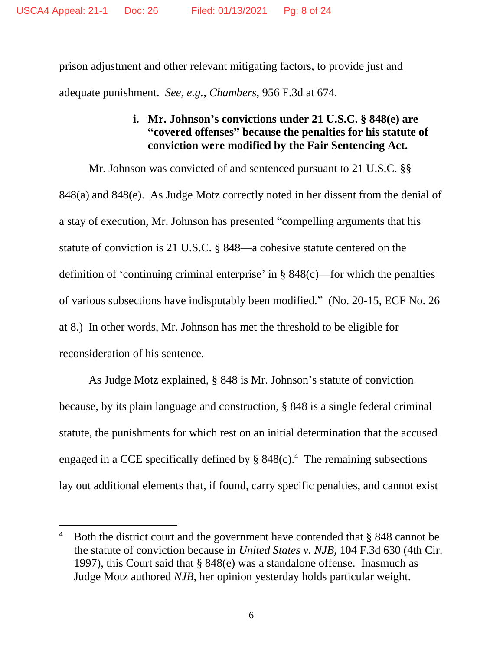prison adjustment and other relevant mitigating factors, to provide just and adequate punishment. *See, e.g.*, *Chambers*, 956 F.3d at 674.

### **i. Mr. Johnson's convictions under 21 U.S.C. § 848(e) are "covered offenses" because the penalties for his statute of conviction were modified by the Fair Sentencing Act.**

Mr. Johnson was convicted of and sentenced pursuant to 21 U.S.C. §§ 848(a) and 848(e). As Judge Motz correctly noted in her dissent from the denial of a stay of execution, Mr. Johnson has presented "compelling arguments that his statute of conviction is 21 U.S.C. § 848—a cohesive statute centered on the definition of 'continuing criminal enterprise' in § 848(c)—for which the penalties of various subsections have indisputably been modified." (No. 20-15, ECF No. 26 at 8.) In other words, Mr. Johnson has met the threshold to be eligible for reconsideration of his sentence.

As Judge Motz explained, § 848 is Mr. Johnson's statute of conviction because, by its plain language and construction, § 848 is a single federal criminal statute, the punishments for which rest on an initial determination that the accused engaged in a CCE specifically defined by  $\S$  848(c).<sup>4</sup> The remaining subsections lay out additional elements that, if found, carry specific penalties, and cannot exist

<sup>&</sup>lt;sup>4</sup> Both the district court and the government have contended that  $\S$  848 cannot be the statute of conviction because in *United States v. NJB,* 104 F.3d 630 (4th Cir. 1997), this Court said that § 848(e) was a standalone offense. Inasmuch as Judge Motz authored *NJB*, her opinion yesterday holds particular weight.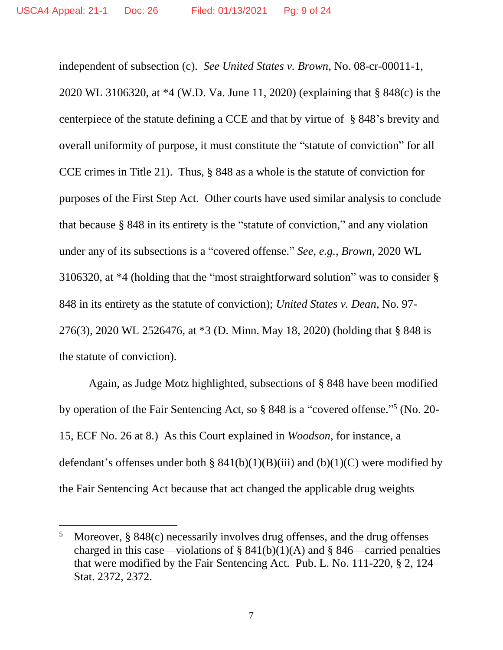independent of subsection (c). *See United States v. Brown*, No. 08-cr-00011-1, 2020 WL 3106320, at \*4 (W.D. Va. June 11, 2020) (explaining that § 848(c) is the centerpiece of the statute defining a CCE and that by virtue of § 848's brevity and overall uniformity of purpose, it must constitute the "statute of conviction" for all CCE crimes in Title 21). Thus, § 848 as a whole is the statute of conviction for purposes of the First Step Act. Other courts have used similar analysis to conclude that because § 848 in its entirety is the "statute of conviction," and any violation under any of its subsections is a "covered offense." *See, e.g.*, *Brown*, 2020 WL 3106320, at \*4 (holding that the "most straightforward solution" was to consider § 848 in its entirety as the statute of conviction); *United States v. Dean*, No. 97- 276(3), 2020 WL 2526476, at \*3 (D. Minn. May 18, 2020) (holding that § 848 is the statute of conviction).

Again, as Judge Motz highlighted, subsections of § 848 have been modified by operation of the Fair Sentencing Act, so § 848 is a "covered offense."<sup>5</sup> (No. 20-15, ECF No. 26 at 8.) As this Court explained in *Woodson*, for instance, a defendant's offenses under both §  $841(b)(1)(B)(iii)$  and  $(b)(1)(C)$  were modified by the Fair Sentencing Act because that act changed the applicable drug weights

<sup>&</sup>lt;sup>5</sup> Moreover, § 848 $(c)$  necessarily involves drug offenses, and the drug offenses charged in this case—violations of §  $841(b)(1)(A)$  and § 846—carried penalties that were modified by the Fair Sentencing Act. Pub. L. No. 111-220, § 2, 124 Stat. 2372, 2372.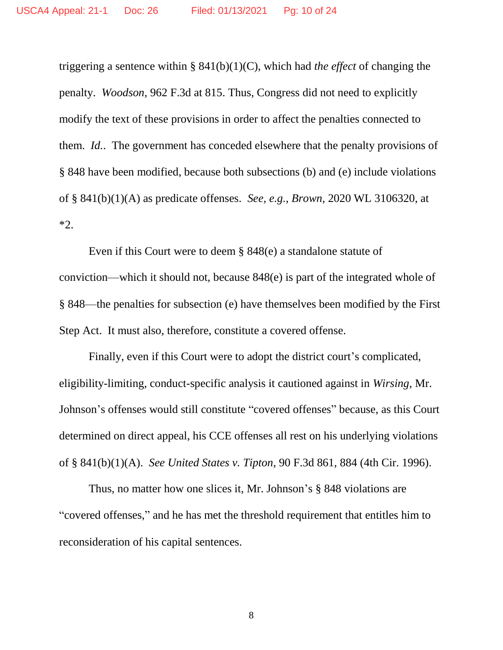triggering a sentence within § 841(b)(1)(C), which had *the effect* of changing the penalty. *Woodson*, 962 F.3d at 815. Thus, Congress did not need to explicitly modify the text of these provisions in order to affect the penalties connected to them. *Id.*. The government has conceded elsewhere that the penalty provisions of § 848 have been modified, because both subsections (b) and (e) include violations of § 841(b)(1)(A) as predicate offenses. *See, e.g.*, *Brown*, 2020 WL 3106320, at \*2.

Even if this Court were to deem § 848(e) a standalone statute of conviction—which it should not, because 848(e) is part of the integrated whole of § 848—the penalties for subsection (e) have themselves been modified by the First Step Act. It must also, therefore, constitute a covered offense.

Finally, even if this Court were to adopt the district court's complicated, eligibility-limiting, conduct-specific analysis it cautioned against in *Wirsing*, Mr. Johnson's offenses would still constitute "covered offenses" because, as this Court determined on direct appeal, his CCE offenses all rest on his underlying violations of § 841(b)(1)(A). *See United States v. Tipton*, 90 F.3d 861, 884 (4th Cir. 1996).

Thus, no matter how one slices it, Mr. Johnson's § 848 violations are "covered offenses," and he has met the threshold requirement that entitles him to reconsideration of his capital sentences.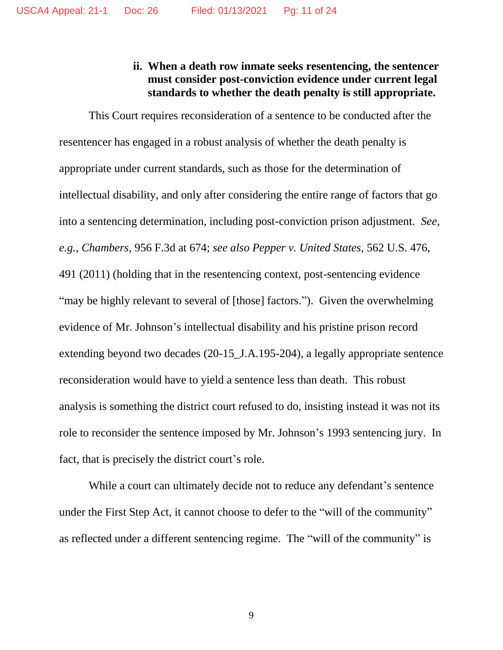### **ii. When a death row inmate seeks resentencing, the sentencer must consider post-conviction evidence under current legal standards to whether the death penalty is still appropriate.**

This Court requires reconsideration of a sentence to be conducted after the resentencer has engaged in a robust analysis of whether the death penalty is appropriate under current standards, such as those for the determination of intellectual disability, and only after considering the entire range of factors that go into a sentencing determination, including post-conviction prison adjustment. *See, e.g.*, *Chambers*, 956 F.3d at 674; *see also Pepper v. United States*, 562 U.S. 476, 491 (2011) (holding that in the resentencing context, post-sentencing evidence "may be highly relevant to several of [those] factors."). Given the overwhelming evidence of Mr. Johnson's intellectual disability and his pristine prison record extending beyond two decades (20-15\_J.A.195-204), a legally appropriate sentence reconsideration would have to yield a sentence less than death. This robust analysis is something the district court refused to do, insisting instead it was not its role to reconsider the sentence imposed by Mr. Johnson's 1993 sentencing jury. In fact, that is precisely the district court's role.

While a court can ultimately decide not to reduce any defendant's sentence under the First Step Act, it cannot choose to defer to the "will of the community" as reflected under a different sentencing regime. The "will of the community" is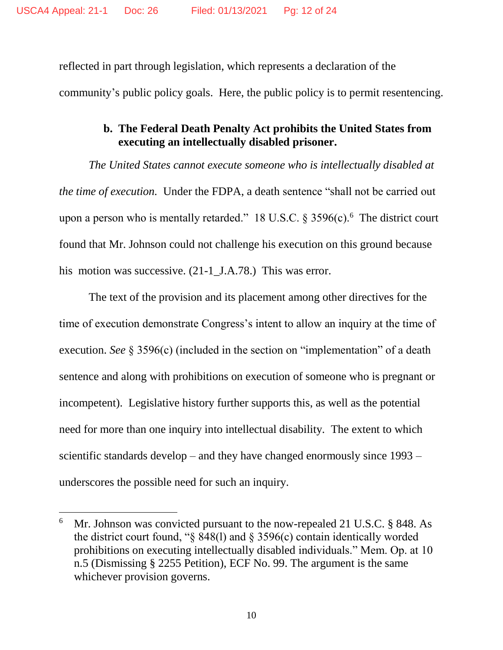reflected in part through legislation, which represents a declaration of the community's public policy goals. Here, the public policy is to permit resentencing.

# **b. The Federal Death Penalty Act prohibits the United States from executing an intellectually disabled prisoner.**

*The United States cannot execute someone who is intellectually disabled at the time of execution.* Under the FDPA, a death sentence "shall not be carried out upon a person who is mentally retarded." 18 U.S.C. § 3596(c).<sup>6</sup> The district court found that Mr. Johnson could not challenge his execution on this ground because his motion was successive. (21-1\_J.A.78.) This was error.

The text of the provision and its placement among other directives for the time of execution demonstrate Congress's intent to allow an inquiry at the time of execution. *See* § 3596(c) (included in the section on "implementation" of a death sentence and along with prohibitions on execution of someone who is pregnant or incompetent). Legislative history further supports this, as well as the potential need for more than one inquiry into intellectual disability. The extent to which scientific standards develop – and they have changed enormously since 1993 – underscores the possible need for such an inquiry.

<sup>&</sup>lt;sup>6</sup> Mr. Johnson was convicted pursuant to the now-repealed 21 U.S.C. § 848. As the district court found, " $\S$  848(1) and  $\S$  3596(c) contain identically worded prohibitions on executing intellectually disabled individuals." Mem. Op. at 10 n.5 (Dismissing § 2255 Petition), ECF No. 99. The argument is the same whichever provision governs.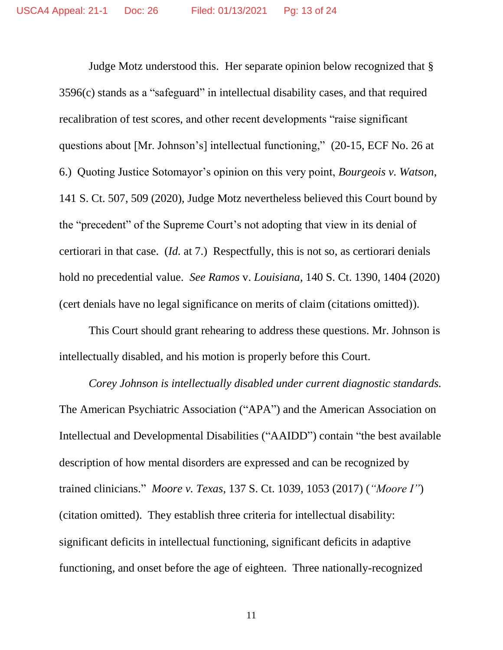Judge Motz understood this. Her separate opinion below recognized that § 3596(c) stands as a "safeguard" in intellectual disability cases, and that required recalibration of test scores, and other recent developments "raise significant questions about [Mr. Johnson's] intellectual functioning," (20-15, ECF No. 26 at 6.) Quoting Justice Sotomayor's opinion on this very point, *Bourgeois v. Watson*, 141 S. Ct. 507, 509 (2020), Judge Motz nevertheless believed this Court bound by the "precedent" of the Supreme Court's not adopting that view in its denial of certiorari in that case. (*Id.* at 7.) Respectfully, this is not so, as certiorari denials hold no precedential value. *See Ramos* v. *Louisiana*, 140 S. Ct. 1390, 1404 (2020) (cert denials have no legal significance on merits of claim (citations omitted)).

This Court should grant rehearing to address these questions. Mr. Johnson is intellectually disabled, and his motion is properly before this Court.

*Corey Johnson is intellectually disabled under current diagnostic standards.* The American Psychiatric Association ("APA") and the American Association on Intellectual and Developmental Disabilities ("AAIDD") contain "the best available description of how mental disorders are expressed and can be recognized by trained clinicians." *Moore v. Texas*, 137 S. Ct. 1039, 1053 (2017) (*"Moore I"*) (citation omitted). They establish three criteria for intellectual disability: significant deficits in intellectual functioning, significant deficits in adaptive functioning, and onset before the age of eighteen. Three nationally-recognized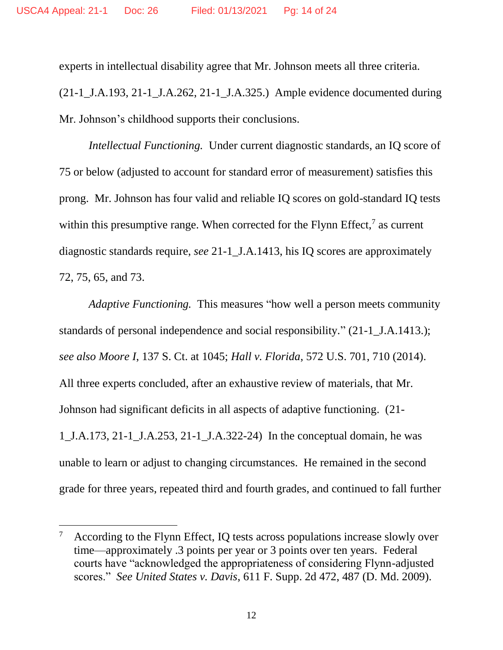experts in intellectual disability agree that Mr. Johnson meets all three criteria.

(21-1\_J.A.193, 21-1\_J.A.262, 21-1\_J.A.325.) Ample evidence documented during Mr. Johnson's childhood supports their conclusions.

*Intellectual Functioning.* Under current diagnostic standards, an IQ score of 75 or below (adjusted to account for standard error of measurement) satisfies this prong. Mr. Johnson has four valid and reliable IQ scores on gold-standard IQ tests within this presumptive range. When corrected for the Flynn Effect, $7$  as current diagnostic standards require, *see* 21-1\_J.A.1413, his IQ scores are approximately 72, 75, 65, and 73.

*Adaptive Functioning.* This measures "how well a person meets community standards of personal independence and social responsibility." (21-1\_J.A.1413.); *see also Moore I*, 137 S. Ct. at 1045; *Hall v. Florida*, 572 U.S. 701, 710 (2014). All three experts concluded, after an exhaustive review of materials, that Mr. Johnson had significant deficits in all aspects of adaptive functioning. (21- 1\_J.A.173, 21-1\_J.A.253, 21-1\_J.A.322-24) In the conceptual domain, he was unable to learn or adjust to changing circumstances. He remained in the second grade for three years, repeated third and fourth grades, and continued to fall further

According to the Flynn Effect, IQ tests across populations increase slowly over time—approximately .3 points per year or 3 points over ten years. Federal courts have "acknowledged the appropriateness of considering Flynn-adjusted scores." *See United States v. Davis*, 611 F. Supp. 2d 472, 487 (D. Md. 2009).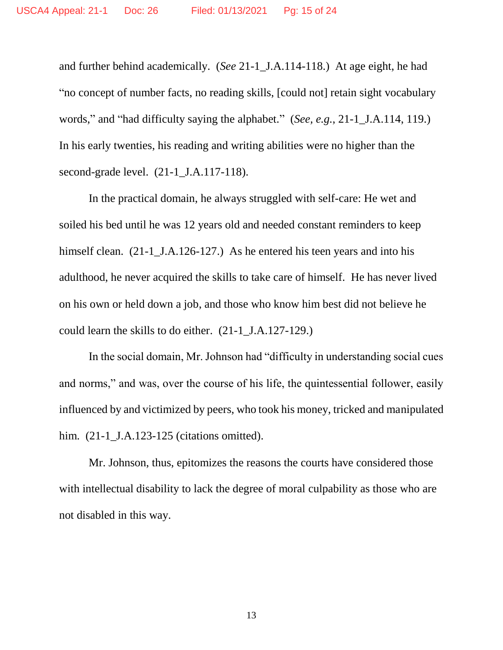and further behind academically. (*See* 21-1\_J.A.114-118.) At age eight, he had "no concept of number facts, no reading skills, [could not] retain sight vocabulary words," and "had difficulty saying the alphabet." (*See, e.g.*, 21-1\_J.A.114, 119.) In his early twenties, his reading and writing abilities were no higher than the second-grade level. (21-1 J.A.117-118).

In the practical domain, he always struggled with self-care: He wet and soiled his bed until he was 12 years old and needed constant reminders to keep himself clean. (21-1\_J.A.126-127.) As he entered his teen years and into his adulthood, he never acquired the skills to take care of himself. He has never lived on his own or held down a job, and those who know him best did not believe he could learn the skills to do either. (21-1\_J.A.127-129.)

In the social domain, Mr. Johnson had "difficulty in understanding social cues and norms," and was, over the course of his life, the quintessential follower, easily influenced by and victimized by peers, who took his money, tricked and manipulated him. (21-1\_J.A.123-125 (citations omitted).

Mr. Johnson, thus, epitomizes the reasons the courts have considered those with intellectual disability to lack the degree of moral culpability as those who are not disabled in this way.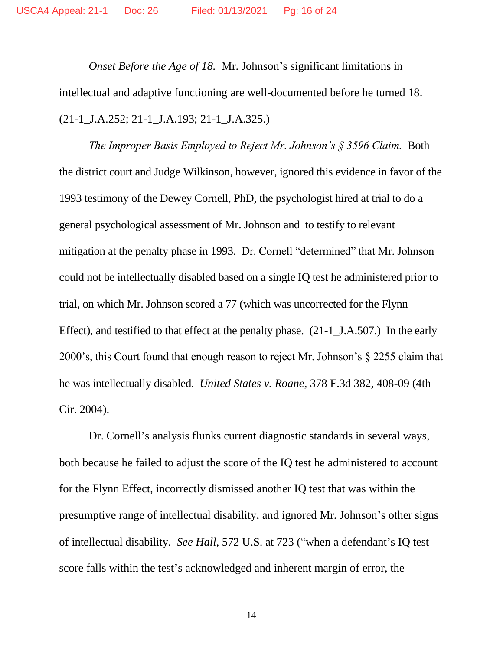*Onset Before the Age of 18.* Mr. Johnson's significant limitations in intellectual and adaptive functioning are well-documented before he turned 18. (21-1\_J.A.252; 21-1\_J.A.193; 21-1\_J.A.325.)

*The Improper Basis Employed to Reject Mr. Johnson's § 3596 Claim.* Both the district court and Judge Wilkinson, however, ignored this evidence in favor of the 1993 testimony of the Dewey Cornell, PhD, the psychologist hired at trial to do a general psychological assessment of Mr. Johnson and to testify to relevant mitigation at the penalty phase in 1993. Dr. Cornell "determined" that Mr. Johnson could not be intellectually disabled based on a single IQ test he administered prior to trial, on which Mr. Johnson scored a 77 (which was uncorrected for the Flynn Effect), and testified to that effect at the penalty phase. (21-1\_J.A.507.) In the early 2000's, this Court found that enough reason to reject Mr. Johnson's § 2255 claim that he was intellectually disabled. *United States v. Roane*, 378 F.3d 382, 408-09 (4th Cir. 2004).

Dr. Cornell's analysis flunks current diagnostic standards in several ways, both because he failed to adjust the score of the IQ test he administered to account for the Flynn Effect, incorrectly dismissed another IQ test that was within the presumptive range of intellectual disability, and ignored Mr. Johnson's other signs of intellectual disability. *See Hall*, 572 U.S. at 723 ("when a defendant's IQ test score falls within the test's acknowledged and inherent margin of error, the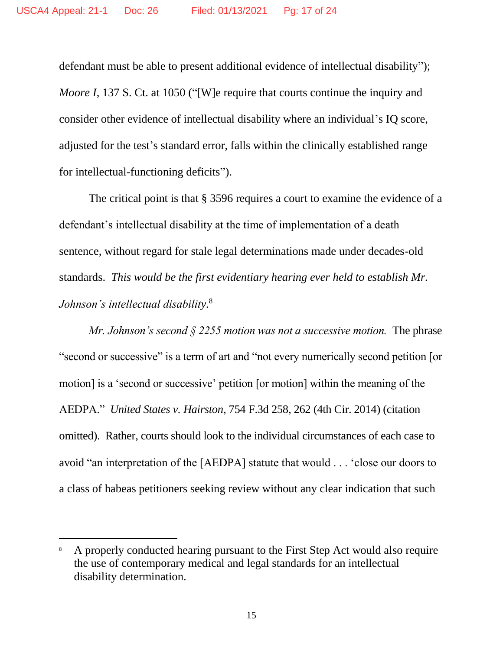defendant must be able to present additional evidence of intellectual disability"); *Moore I*, 137 S. Ct. at 1050 ("[W]e require that courts continue the inquiry and consider other evidence of intellectual disability where an individual's IQ score, adjusted for the test's standard error, falls within the clinically established range for intellectual-functioning deficits").

The critical point is that § 3596 requires a court to examine the evidence of a defendant's intellectual disability at the time of implementation of a death sentence, without regard for stale legal determinations made under decades-old standards. *This would be the first evidentiary hearing ever held to establish Mr. Johnson's intellectual disability.*<sup>8</sup>

*Mr. Johnson's second § 2255 motion was not a successive motion.* The phrase "second or successive" is a term of art and "not every numerically second petition [or motion] is a 'second or successive' petition [or motion] within the meaning of the AEDPA." *United States v. Hairston*, 754 F.3d 258, 262 (4th Cir. 2014) (citation omitted). Rather, courts should look to the individual circumstances of each case to avoid "an interpretation of the [AEDPA] statute that would . . . 'close our doors to a class of habeas petitioners seeking review without any clear indication that such

<sup>8</sup> A properly conducted hearing pursuant to the First Step Act would also require the use of contemporary medical and legal standards for an intellectual disability determination.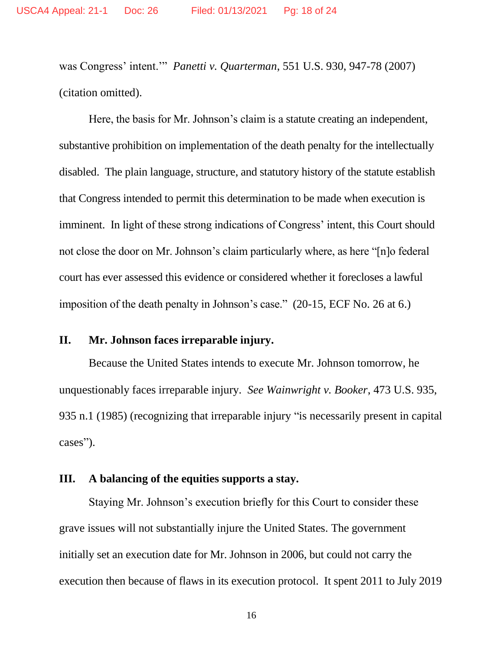was Congress' intent.'" *Panetti v. Quarterman*, 551 U.S. 930, 947-78 (2007) (citation omitted).

Here, the basis for Mr. Johnson's claim is a statute creating an independent, substantive prohibition on implementation of the death penalty for the intellectually disabled. The plain language, structure, and statutory history of the statute establish that Congress intended to permit this determination to be made when execution is imminent. In light of these strong indications of Congress' intent, this Court should not close the door on Mr. Johnson's claim particularly where, as here "[n]o federal court has ever assessed this evidence or considered whether it forecloses a lawful imposition of the death penalty in Johnson's case." (20-15, ECF No. 26 at 6.)

#### **II. Mr. Johnson faces irreparable injury.**

Because the United States intends to execute Mr. Johnson tomorrow, he unquestionably faces irreparable injury. *See Wainwright v. Booker*, 473 U.S. 935, 935 n.1 (1985) (recognizing that irreparable injury "is necessarily present in capital cases").

#### **III. A balancing of the equities supports a stay.**

Staying Mr. Johnson's execution briefly for this Court to consider these grave issues will not substantially injure the United States. The government initially set an execution date for Mr. Johnson in 2006, but could not carry the execution then because of flaws in its execution protocol. It spent 2011 to July 2019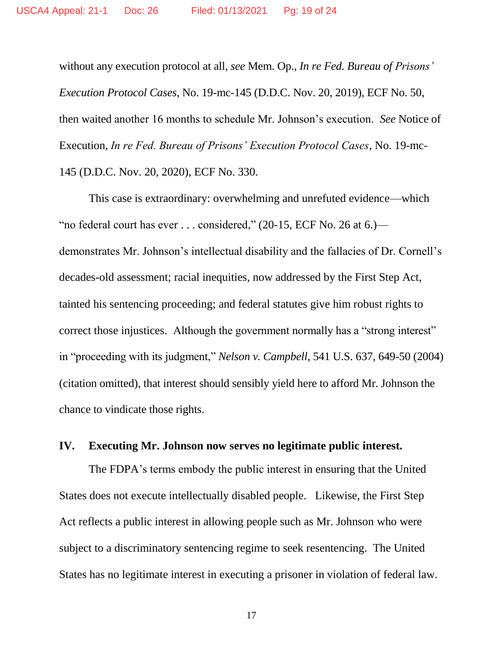without any execution protocol at all, *see* Mem. Op., *In re Fed. Bureau of Prisons' Execution Protocol Cases*, No. 19-mc-145 (D.D.C. Nov. 20, 2019), ECF No. 50, then waited another 16 months to schedule Mr. Johnson's execution. *See* Notice of Execution, *In re Fed. Bureau of Prisons' Execution Protocol Cases*, No. 19-mc-145 (D.D.C. Nov. 20, 2020), ECF No. 330.

This case is extraordinary: overwhelming and unrefuted evidence—which "no federal court has ever . . . considered," (20-15, ECF No. 26 at 6.) demonstrates Mr. Johnson's intellectual disability and the fallacies of Dr. Cornell's decades-old assessment; racial inequities, now addressed by the First Step Act, tainted his sentencing proceeding; and federal statutes give him robust rights to correct those injustices. Although the government normally has a "strong interest" in "proceeding with its judgment," *Nelson v. Campbell*, 541 U.S. 637, 649-50 (2004) (citation omitted), that interest should sensibly yield here to afford Mr. Johnson the chance to vindicate those rights.

#### **IV. Executing Mr. Johnson now serves no legitimate public interest.**

The FDPA's terms embody the public interest in ensuring that the United States does not execute intellectually disabled people. Likewise, the First Step Act reflects a public interest in allowing people such as Mr. Johnson who were subject to a discriminatory sentencing regime to seek resentencing. The United States has no legitimate interest in executing a prisoner in violation of federal law.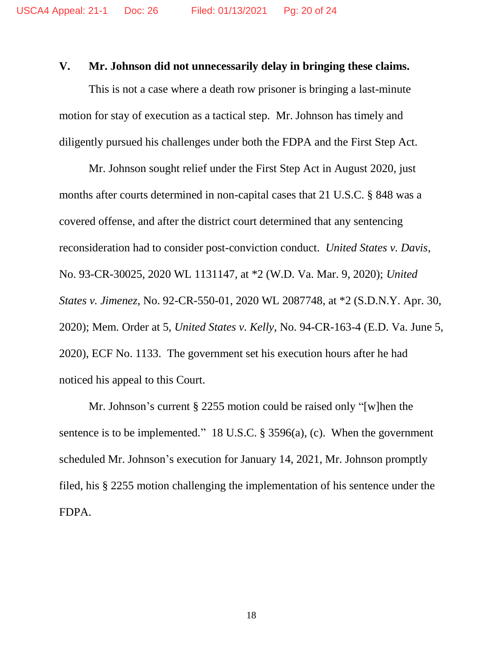#### **V. Mr. Johnson did not unnecessarily delay in bringing these claims.**

This is not a case where a death row prisoner is bringing a last-minute motion for stay of execution as a tactical step. Mr. Johnson has timely and diligently pursued his challenges under both the FDPA and the First Step Act.

Mr. Johnson sought relief under the First Step Act in August 2020, just months after courts determined in non-capital cases that 21 U.S.C. § 848 was a covered offense, and after the district court determined that any sentencing reconsideration had to consider post-conviction conduct. *United States v. Davis*, No. 93-CR-30025, 2020 WL 1131147, at \*2 (W.D. Va. Mar. 9, 2020); *United States v. Jimenez*, No. 92-CR-550-01, 2020 WL 2087748, at \*2 (S.D.N.Y. Apr. 30, 2020); Mem. Order at 5, *United States v. Kelly*, No. 94-CR-163-4 (E.D. Va. June 5, 2020), ECF No. 1133. The government set his execution hours after he had noticed his appeal to this Court.

Mr. Johnson's current § 2255 motion could be raised only "[w]hen the sentence is to be implemented." 18 U.S.C. § 3596(a), (c). When the government scheduled Mr. Johnson's execution for January 14, 2021, Mr. Johnson promptly filed, his § 2255 motion challenging the implementation of his sentence under the FDPA.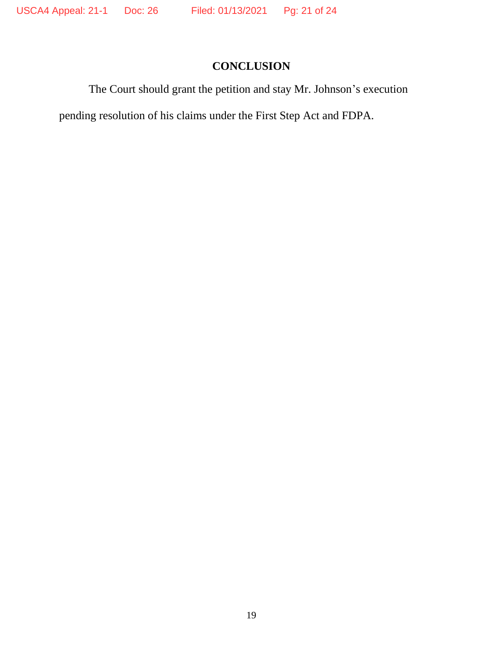# **CONCLUSION**

The Court should grant the petition and stay Mr. Johnson's execution

pending resolution of his claims under the First Step Act and FDPA.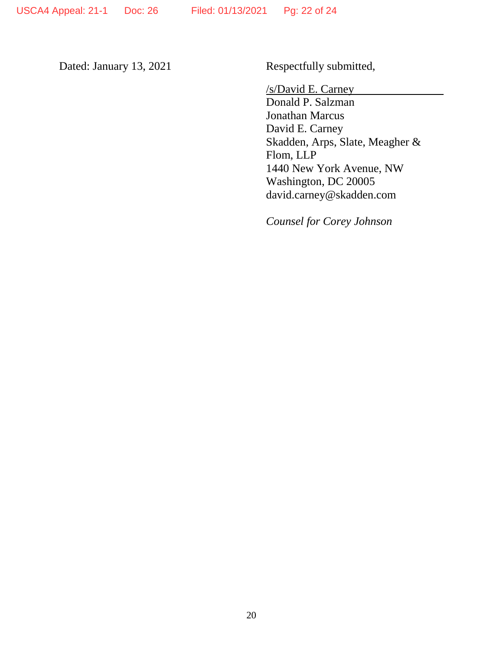Dated: January 13, 2021 Respectfully submitted,

/s/David E. Carney

Donald P. Salzman Jonathan Marcus David E. Carney Skadden, Arps, Slate, Meagher & Flom, LLP 1440 New York Avenue, NW Washington, DC 20005 david.carney@skadden.com

*Counsel for Corey Johnson*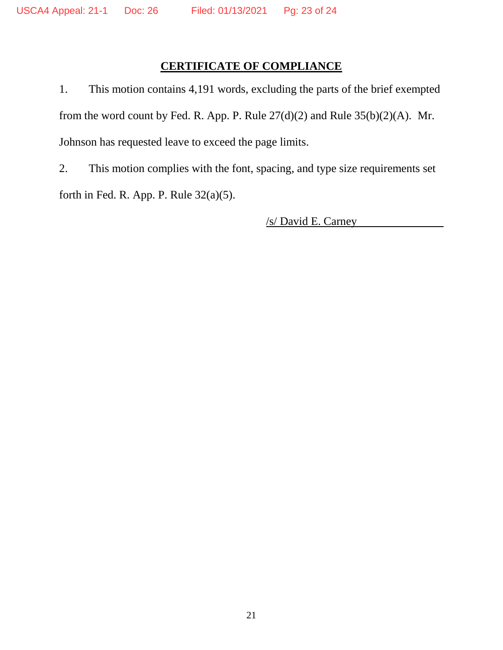# **CERTIFICATE OF COMPLIANCE**

1. This motion contains 4,191 words, excluding the parts of the brief exempted from the word count by Fed. R. App. P. Rule  $27(d)(2)$  and Rule  $35(b)(2)(A)$ . Mr. Johnson has requested leave to exceed the page limits.

2. This motion complies with the font, spacing, and type size requirements set forth in Fed. R. App. P. Rule 32(a)(5).

/s/ David E. Carney